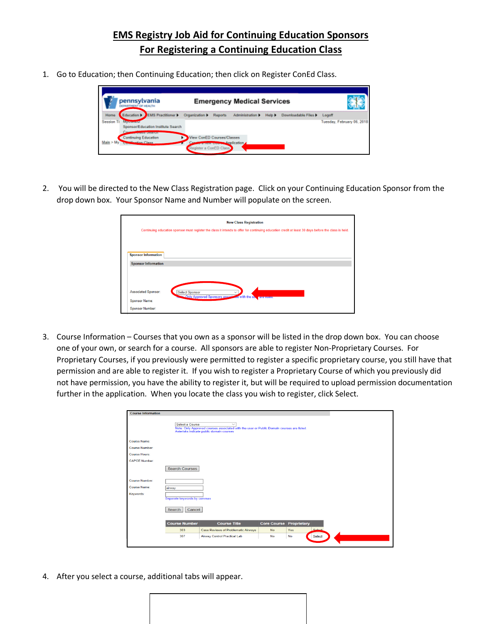## **EMS Registry Job Aid for Continuing Education Sponsors For Registering a Continuing Education Class**

1. Go to Education; then Continuing Education; then click on Register ConEd Class.

|                           | pennsylvania<br><b>SPARTMENT OF HEALTH</b>                                                                              |                                                      |                          | <b>Emergency Medical Services</b> |               |                      |                                      |
|---------------------------|-------------------------------------------------------------------------------------------------------------------------|------------------------------------------------------|--------------------------|-----------------------------------|---------------|----------------------|--------------------------------------|
| Home<br><b>Session Ti</b> | Education   EMS Practitioner  <br><b>Millioneer of C</b><br>Sponsor/Education Institute Search<br>ACCRECATE TO THE REAL | Organization >                                       | Reports                  | Administration >                  | Halp <b>F</b> | Downloadable Files b | Logaff<br>Tuesday, February 06, 2018 |
| Main > My                 | <b>Continuing Education</b><br><b>Class Class</b>                                                                       | View ConED Courses/Classes<br>Register a ConED Class | receive come Application |                                   |               |                      |                                      |

2. You will be directed to the New Class Registration page. Click on your Continuing Education Sponsor from the drop down box. Your Sponsor Name and Number will populate on the screen.

|                        | <b>New Class Registration</b>                                                                                                                       |
|------------------------|-----------------------------------------------------------------------------------------------------------------------------------------------------|
|                        | Continuing education sponsor must register the class it intends to offer for continuing education credit at least 30 days before the class is held. |
|                        |                                                                                                                                                     |
|                        | <b>Sponsor Information</b>                                                                                                                          |
|                        | <b>Sponsor Information</b>                                                                                                                          |
|                        |                                                                                                                                                     |
|                        |                                                                                                                                                     |
|                        | <b>Associated Sponsor:</b><br><b>Select Sponsor</b><br>$\checkmark$                                                                                 |
| <b>Sponsor Name:</b>   | <b>Conly Approved Sponsors associate</b><br><b>Ed with the us</b><br>are listed.                                                                    |
| <b>Sponsor Number:</b> |                                                                                                                                                     |

3. Course Information – Courses that you own as a sponsor will be listed in the drop down box. You can choose one of your own, or search for a course. All sponsors are able to register Non-Proprietary Courses. For Proprietary Courses, if you previously were permitted to register a specific proprietary course, you still have that permission and are able to register it. If you wish to register a Proprietary Course of which you previously did not have permission, you have the ability to register it, but will be required to upload permission documentation further in the application. When you locate the class you wish to register, click Select.

| <b>Course Information</b> |                             |                                                                                                                                                       |                    |             |        |  |
|---------------------------|-----------------------------|-------------------------------------------------------------------------------------------------------------------------------------------------------|--------------------|-------------|--------|--|
|                           | Select a Course             | $\checkmark$<br>Note: Only Approved courses associated with the user or Public Domain courses are listed.<br>Asterisks indicate public domain courses |                    |             |        |  |
| <b>Course Name:</b>       |                             |                                                                                                                                                       |                    |             |        |  |
| Course Number:            |                             |                                                                                                                                                       |                    |             |        |  |
| <b>Course Hours:</b>      |                             |                                                                                                                                                       |                    |             |        |  |
| <b>CAPCE Number:</b>      |                             |                                                                                                                                                       |                    |             |        |  |
|                           | <b>Search Courses</b>       |                                                                                                                                                       |                    |             |        |  |
| <b>Course Number:</b>     |                             |                                                                                                                                                       |                    |             |        |  |
| <b>Course Name:</b>       | airway                      |                                                                                                                                                       |                    |             |        |  |
| Keywords:                 | Separate keywords by commas |                                                                                                                                                       |                    |             |        |  |
|                           | Search<br>Cancel            |                                                                                                                                                       |                    |             |        |  |
|                           | <b>Course Number</b>        | <b>Course Title</b>                                                                                                                                   | <b>Core Course</b> | Proprietary |        |  |
|                           | 303                         | <b>Case Reviews of Problematic Airways</b>                                                                                                            | <b>No</b>          | Yes         | Solont |  |
|                           | 307                         | <b>Airway Control Practical Lab</b>                                                                                                                   | No                 | No          | Select |  |
|                           |                             |                                                                                                                                                       |                    |             |        |  |

4. After you select a course, additional tabs will appear.

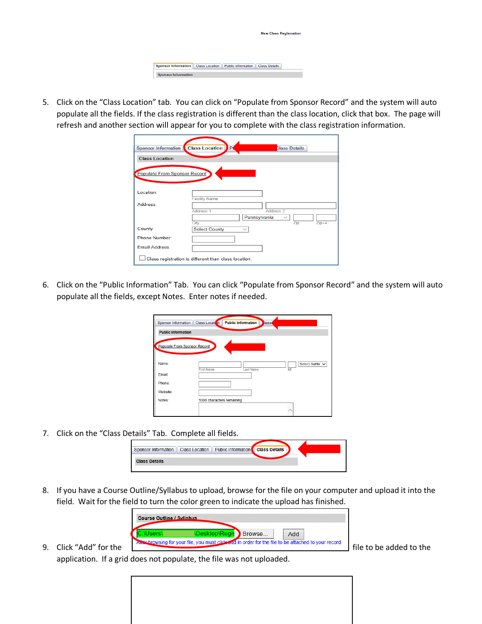|  | <b>New Class Registration</b> |  |
|--|-------------------------------|--|
|  |                               |  |
|  |                               |  |
|  |                               |  |

5. Click on the "Class Location" tab. You can click on "Populate from Sponsor Record" and the system will auto populate all the fields. If the class registration is different than the class location, click that box. The page will refresh and another section will appear for you to complete with the class registration information.

| <b>Sponsor Information</b>   | <b>Class Location</b><br>P.                          |              | <b>Class Details</b> |         |
|------------------------------|------------------------------------------------------|--------------|----------------------|---------|
| <b>Class Location</b>        |                                                      |              |                      |         |
| Populate From Sponsor Record |                                                      |              |                      |         |
| Location:                    |                                                      |              |                      |         |
| Address:                     | <b>Facility Name</b><br><b>Address 1</b>             | Pennsylvania | Address <sub>2</sub> |         |
| County                       | City<br><b>Select County</b>                         |              | Zip                  | $Zip+4$ |
| <b>Phone Number:</b>         |                                                      |              |                      |         |
| <b>Email Address:</b>        |                                                      |              |                      |         |
|                              | Class registration is different than class location. |              |                      |         |

6. Click on the "Public Information" Tab. You can click "Populate from Sponsor Record" and the system will auto populate all the fields, except Notes. Enter notes if needed.

| Sponsor Information          | Class Location<br><b>Public Information</b><br>lass.         |
|------------------------------|--------------------------------------------------------------|
| <b>Public Information</b>    |                                                              |
| Populate From Sponsor Record |                                                              |
| Name:                        | Select Suffix $\vee$<br><b>First Name</b><br>Last Name<br>MI |
| Email:                       |                                                              |
| Phone:                       |                                                              |
| Website:                     |                                                              |
| Notes:                       | 1000 characters remaining                                    |
|                              |                                                              |

7. Click on the "Class Details" Tab. Complete all fields.

| Public Information<br>Sponsor Information<br><b>Class Details</b><br><b>Class Location</b> |
|--------------------------------------------------------------------------------------------|
|                                                                                            |
| <b>Class Details</b>                                                                       |

8. If you have a Course Outline/Syllabus to upload, browse for the file on your computer and upload it into the field. Wait for the field to turn the color green to indicate the upload has finished.



application. If a grid does not populate, the file was not uploaded.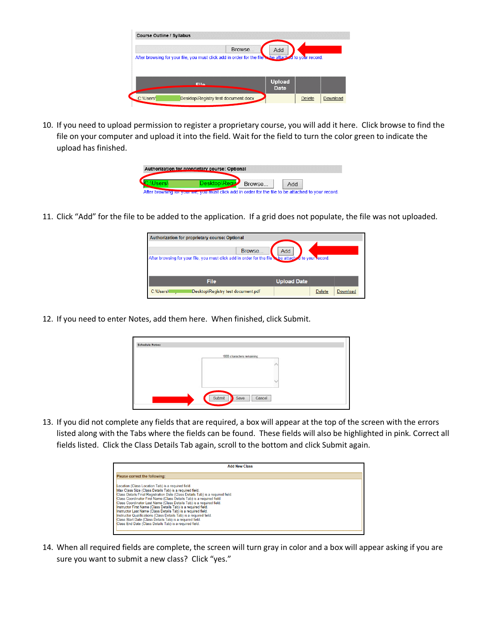|                                                                                                       | <b>Browse</b> |               |  |
|-------------------------------------------------------------------------------------------------------|---------------|---------------|--|
|                                                                                                       |               | Add           |  |
| After browsing for your file, you must click add in order for the file is he attached to your record. |               |               |  |
|                                                                                                       |               |               |  |
|                                                                                                       |               |               |  |
|                                                                                                       |               |               |  |
|                                                                                                       |               | <b>Upload</b> |  |
| Eile                                                                                                  |               | <b>Date</b>   |  |
|                                                                                                       |               |               |  |
|                                                                                                       |               |               |  |

10. If you need to upload permission to register a proprietary course, you will add it here. Click browse to find the file on your computer and upload it into the field. Wait for the field to turn the color green to indicate the upload has finished.

| Authorization for proprietary course: Optional                                                      |        |  |
|-----------------------------------------------------------------------------------------------------|--------|--|
|                                                                                                     | Browse |  |
| After browsing for your me, you must click add in order for the file to be attached to your record. |        |  |

11. Click "Add" for the file to be added to the application. If a grid does not populate, the file was not uploaded.

| Authorization for proprietary course: Optional<br>Browse                                           | Add                |  |
|----------------------------------------------------------------------------------------------------|--------------------|--|
| After browsing for your file, you must click add in order for the file be attached to your record. |                    |  |
|                                                                                                    |                    |  |
|                                                                                                    |                    |  |
| <b>File</b>                                                                                        | <b>Upload Date</b> |  |

12. If you need to enter Notes, add them here. When finished, click Submit.

|  | 1000 characters remaining |           |  |
|--|---------------------------|-----------|--|
|  |                           | $\lambda$ |  |
|  |                           |           |  |
|  |                           | ٧         |  |
|  |                           |           |  |

13. If you did not complete any fields that are required, a box will appear at the top of the screen with the errors listed along with the Tabs where the fields can be found. These fields will also be highlighted in pink. Correct all fields listed. Click the Class Details Tab again, scroll to the bottom and click Submit again.

| <b>Add New Class</b>                                                                                                                                                                                                                                                                                                                                                                                                                                                                                                                                                                                                                                                              |  |
|-----------------------------------------------------------------------------------------------------------------------------------------------------------------------------------------------------------------------------------------------------------------------------------------------------------------------------------------------------------------------------------------------------------------------------------------------------------------------------------------------------------------------------------------------------------------------------------------------------------------------------------------------------------------------------------|--|
| Please correct the following:                                                                                                                                                                                                                                                                                                                                                                                                                                                                                                                                                                                                                                                     |  |
| Location (Class Location Tab) is a required field.<br>Max Class Size (Class Details Tab) is a required field.<br>Class Details Final Registration Date (Class Details Tab) is a required field.<br>Class Coordinator First Name (Class Details Tab) is a required field.<br>Class Coordinator Last Name (Class Details Tab) is a required field.<br>Instructor First Name (Class Details Tab) is a required field.<br>Instructor Last Name (Class Details Tab) is a required field.<br>Instructor Qualifications (Class Details Tab) is a required field.<br>Class Start Date (Class Details Tab) is a required field.<br>Class End Date (Class Details Tab) is a required field. |  |

14. When all required fields are complete, the screen will turn gray in color and a box will appear asking if you are sure you want to submit a new class? Click "yes."